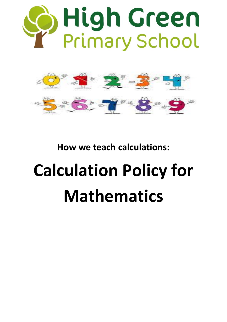



**How we teach calculations:**

# **Calculation Policy for Mathematics**